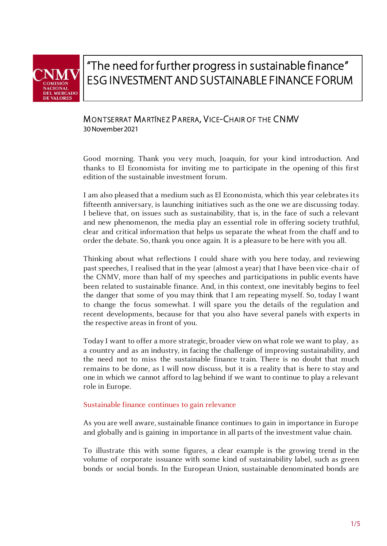

# "The need for further progress in sustainable finance" ESG INVESTMENT AND SUSTAINABLE FINANCE FORUM

## MONTSERRAT MARTÍNEZ PARERA, VICE-CHAIR OF THE CNMV

30 November 2021

Good morning. Thank you very much, Joaquín, for your kind introduction. And thanks to El Economista for inviting me to participate in the opening of this first edition of the sustainable investment forum.

I am also pleased that a medium such as El Economista, which this year celebrates its fifteenth anniversary, is launching initiatives such as the one we are discussing today. I believe that, on issues such as sustainability, that is, in the face of such a relevant and new phenomenon, the media play an essential role in offering society truthful, clear and critical information that helps us separate the wheat from the chaff and to order the debate. So, thank you once again. It is a pleasure to be here with you all.

Thinking about what reflections I could share with you here today, and reviewing past speeches, I realised that in the year (almost a year) that I have been vice-chair of the CNMV, more than half of my speeches and participations in public events have been related to sustainable finance. And, in this context, one inevitably begins to feel the danger that some of you may think that I am repeating myself. So, today I want to change the focus somewhat. I will spare you the details of the regulation and recent developments, because for that you also have several panels with experts in the respective areas in front of you.

Today I want to offer a more strategic, broader view on what role we want to play, as a country and as an industry, in facing the challenge of improving sustainability, and the need not to miss the sustainable finance train. There is no doubt that much remains to be done, as I will now discuss, but it is a reality that is here to stay and one in which we cannot afford to lag behind if we want to continue to play a relevant role in Europe.

### Sustainable finance continues to gain relevance

As you are well aware, sustainable finance continues to gain in importance in Europe and globally and is gaining in importance in all parts of the investment value chain.

To illustrate this with some figures, a clear example is the growing trend in the volume of corporate issuance with some kind of sustainability label, such as green bonds or social bonds. In the European Union, sustainable denominated bonds are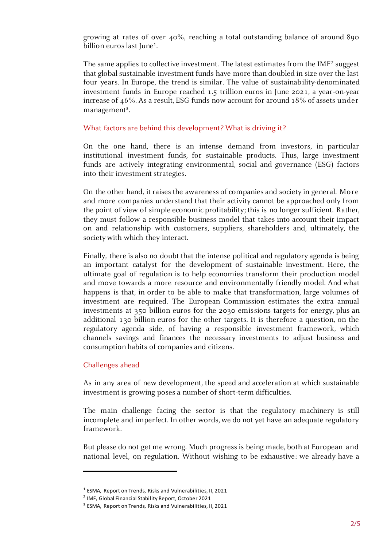growing at rates of over 40%, reaching a total outstanding balance of around 890 billion euros last June<sup>1</sup>.

The same applies to collective investment. The latest estimates from the IMF<sup>2</sup> suggest that global sustainable investment funds have more than doubled in size over the last four years. In Europe, the trend is similar. The value of sustainability-denominated investment funds in Europe reached 1.5 trillion euros in June 2021, a year-on-year increase of 46%. As a result, ESG funds now account for around 18% of assets under management<sup>3</sup>.

#### What factors are behind this development? What is driving it?

On the one hand, there is an intense demand from investors, in particular institutional investment funds, for sustainable products. Thus, large investment funds are actively integrating environmental, social and governance (ESG) factors into their investment strategies.

On the other hand, it raises the awareness of companies and society in general. More and more companies understand that their activity cannot be approached only from the point of view of simple economic profitability; this is no longer sufficient. Rather, they must follow a responsible business model that takes into account their impact on and relationship with customers, suppliers, shareholders and, ultimately, the society with which they interact.

Finally, there is also no doubt that the intense political and regulatory agenda is being an important catalyst for the development of sustainable investment. Here, the ultimate goal of regulation is to help economies transform their production model and move towards a more resource and environmentally friendly model. And what happens is that, in order to be able to make that transformation, large volumes of investment are required. The European Commission estimates the extra annual investments at 350 billion euros for the 2030 emissions targets for energy, plus an additional 130 billion euros for the other targets. It is therefore a question, on the regulatory agenda side, of having a responsible investment framework, which channels savings and finances the necessary investments to adjust business and consumption habits of companies and citizens.

#### Challenges ahead

As in any area of new development, the speed and acceleration at which sustainable investment is growing poses a number of short-term difficulties.

The main challenge facing the sector is that the regulatory machinery is still incomplete and imperfect. In other words, we do not yet have an adequate regulatory framework.

But please do not get me wrong. Much progress is being made, both at European and national level, on regulation. Without wishing to be exhaustive: we already have a

<sup>&</sup>lt;sup>1</sup> ESMA, Report on Trends, Risks and Vulnerabilities, II, 2021

<sup>&</sup>lt;sup>2</sup> IMF, Global Financial Stability Report, October 2021

<sup>&</sup>lt;sup>3</sup> ESMA, Report on Trends, Risks and Vulnerabilities, II, 2021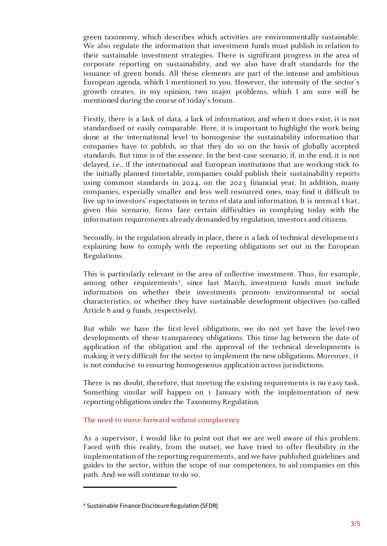green taxonomy, which describes which activities are environmentally sustainable. We also regulate the information that investment funds must publish in relation to their sustainable investment strategies. There is significant progress in the area of corporate reporting on sustainability, and we also have draft standards for the issuance of green bonds. All these elements are part of the intense and ambitious European agenda, which I mentioned to you. However, the intensity of the sector's growth creates, in my opinion, two major problems, which I am sure will be mentioned during the course of today's forum.

Firstly, there is a lack of data, a lack of information, and when it does exist, it is not standardised or easily comparable. Here, it is important to highlight the work being done at the international level to homogenise the sustainability information that companies have to publish, so that they do so on the basis of globally accepted standards. But time is of the essence. In the best-case scenario, if, in the end, it is not delayed, i.e., if the international and European institutions that are working stick to the initially planned timetable, companies could publish their sustainability reports using common standards in 2024, on the 2023 financial year. In addition, many companies, especially smaller and less well-resourced ones, may find it difficult to live up to investors' expectations in terms of data and information. It is normal t hat, given this scenario, firms face certain difficulties in complying today with the information requirements already demanded by regulation, investors and citizens.

Secondly, in the regulation already in place, there is a lack of technical developments explaining how to comply with the reporting obligations set out in the European Regulations.

This is particularly relevant in the area of collective investment. Thus, for example, among other requirements<sup>4</sup>, since last March, investment funds must include information on whether their investments promote environmental or social characteristics, or whether they have sustainable development objectives (so-called Article 8 and 9 funds, respectively).

But while we have the first-level obligations, we do not yet have the level-two developments of these transparency obligations. This time lag between the date of application of the obligation and the approval of the technical developments is making it very difficult for the sector to implement the new obligations. Moreover, it is not conducive to ensuring homogeneous application across jurisdictions.

There is no doubt, therefore, that meeting the existing requirements is no easy task. Something similar will happen on 1 January with the implementation of new reporting obligations under the Taxonomy Regulation.

#### The need to move forward without complacency

As a supervisor, I would like to point out that we are well aware of this problem. Faced with this reality, from the outset, we have tried to offer flexibility in the implementation of the reporting requirements, and we have published guidelines and guides to the sector, within the scope of our competences, to aid companies on this path. And we will continue to do so.

<sup>4</sup> Sustainable Finance Disclosure Regulation (SFDR)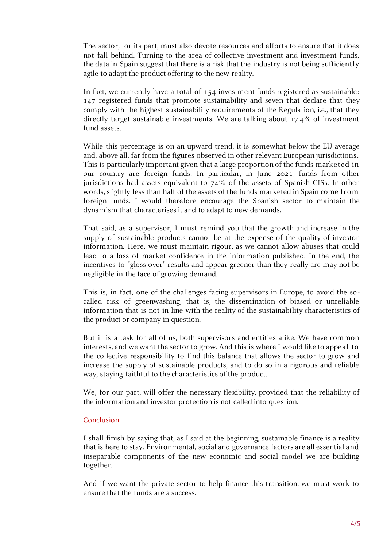The sector, for its part, must also devote resources and efforts to ensure that it does not fall behind. Turning to the area of collective investment and investment funds, the data in Spain suggest that there is a risk that the industry is not being sufficiently agile to adapt the product offering to the new reality.

In fact, we currently have a total of 154 investment funds registered as sustainable: 147 registered funds that promote sustainability and seven that declare that they comply with the highest sustainability requirements of the Regulation, i.e., that they directly target sustainable investments. We are talking about 17.4% of investment fund assets.

While this percentage is on an upward trend, it is somewhat below the EU average and, above all, far from the figures observed in other relevant European jurisdictions. This is particularly important given that a large proportion of the funds marketed in our country are foreign funds. In particular, in June 2021, funds from other jurisdictions had assets equivalent to 74% of the assets of Spanish CISs. In other words, slightly less than half of the assets of the funds marketed in Spain come from foreign funds. I would therefore encourage the Spanish sector to maintain the dynamism that characterises it and to adapt to new demands.

That said, as a supervisor, I must remind you that the growth and increase in the supply of sustainable products cannot be at the expense of the quality of investor information. Here, we must maintain rigour, as we cannot allow abuses that could lead to a loss of market confidence in the information published. In the end, the incentives to "gloss over" results and appear greener than they really are may not be negligible in the face of growing demand.

This is, in fact, one of the challenges facing supervisors in Europe, to avoid the so called risk of greenwashing, that is, the dissemination of biased or unreliable information that is not in line with the reality of the sustainability characteristics of the product or company in question.

But it is a task for all of us, both supervisors and entities alike. We have common interests, and we want the sector to grow. And this is where I would like to appeal to the collective responsibility to find this balance that allows the sector to grow and increase the supply of sustainable products, and to do so in a rigorous and reliable way, staying faithful to the characteristics of the product.

We, for our part, will offer the necessary flexibility, provided that the reliability of the information and investor protection is not called into question.

#### Conclusion

I shall finish by saying that, as I said at the beginning, sustainable finance is a reality that is here to stay. Environmental, social and governance factors are all essential and inseparable components of the new economic and social model we are building together.

And if we want the private sector to help finance this transition, we must work to ensure that the funds are a success.